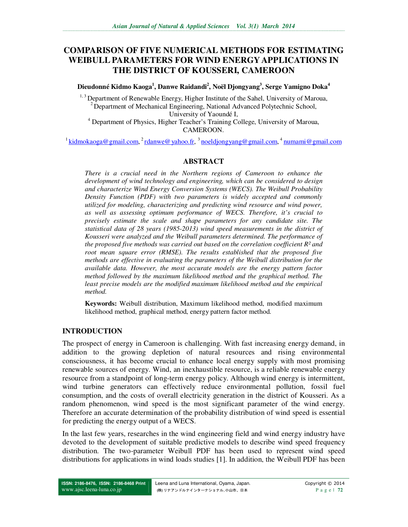# **COMPARISON OF FIVE NUMERICAL METHODS FOR ESTIMATING WEIBULL PARAMETERS FOR WIND ENERGY APPLICATIONS IN THE DISTRICT OF KOUSSERI, CAMEROON**

**Dieudonné Kidmo Kaoga<sup>1</sup> , Danwe Raidandi<sup>2</sup> , Noël Djongyang<sup>3</sup> , Serge Yamigno Doka<sup>4</sup>**

<sup>1, 3</sup> Department of Renewable Energy, Higher Institute of the Sahel, University of Maroua,  $2^{2}$  Department of Mechanical Engineering, National Advanced Polytechnic School, University of Yaoundé I,

<sup>4</sup> Department of Physics, Higher Teacher's Training College, University of Maroua, CAMEROON.

<sup>1</sup> kidmokaoga@gmail.com, <sup>2</sup> rdanwe@yahoo.fr, <sup>3</sup> noeldjongyang@gmail.com, <sup>4</sup> numami@gmail.com

### **ABSTRACT**

*There is a crucial need in the Northern regions of Cameroon to enhance the development of wind technology and engineering, which can be considered to design and characterize Wind Energy Conversion Systems (WECS). The Weibull Probability Density Function (PDF) with two parameters is widely accepted and commonly utilized for modeling, characterizing and predicting wind resource and wind power, as well as assessing optimum performance of WECS. Therefore, it's crucial to precisely estimate the scale and shape parameters for any candidate site. The statistical data of 28 years (1985-2013) wind speed measurements in the district of Kousseri were analyzed and the Weibull parameters determined. The performance of the proposed five methods was carried out based on the correlation coefficient R² and root mean square error (RMSE). The results established that the proposed five methods are effective in evaluating the parameters of the Weibull distribution for the available data. However, the most accurate models are the energy pattern factor method followed by the maximum likelihood method and the graphical method. The least precise models are the modified maximum likelihood method and the empirical method.* 

**Keywords:** Weibull distribution, Maximum likelihood method, modified maximum likelihood method, graphical method, energy pattern factor method.

## **INTRODUCTION**

The prospect of energy in Cameroon is challenging. With fast increasing energy demand, in addition to the growing depletion of natural resources and rising environmental consciousness, it has become crucial to enhance local energy supply with most promising renewable sources of energy. Wind, an inexhaustible resource, is a reliable renewable energy resource from a standpoint of long-term energy policy. Although wind energy is intermittent, wind turbine generators can effectively reduce environmental pollution, fossil fuel consumption, and the costs of overall electricity generation in the district of Kousseri. As a random phenomenon, wind speed is the most significant parameter of the wind energy. Therefore an accurate determination of the probability distribution of wind speed is essential for predicting the energy output of a WECS.

In the last few years, researches in the wind engineering field and wind energy industry have devoted to the development of suitable predictive models to describe wind speed frequency distribution. The two-parameter Weibull PDF has been used to represent wind speed distributions for applications in wind loads studies [1]. In addition, the Weibull PDF has been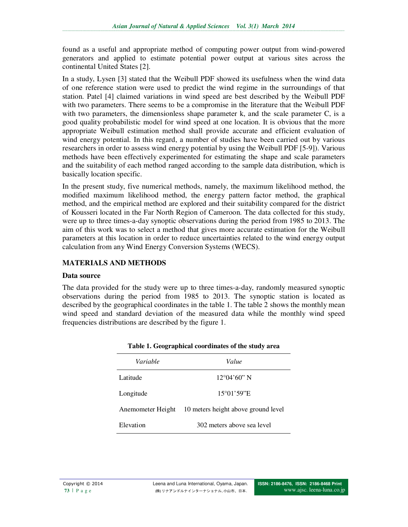found as a useful and appropriate method of computing power output from wind-powered generators and applied to estimate potential power output at various sites across the continental United States [2].

In a study, Lysen [3] stated that the Weibull PDF showed its usefulness when the wind data of one reference station were used to predict the wind regime in the surroundings of that station. Patel [4] claimed variations in wind speed are best described by the Weibull PDF with two parameters. There seems to be a compromise in the literature that the Weibull PDF with two parameters, the dimensionless shape parameter k, and the scale parameter C, is a good quality probabilistic model for wind speed at one location. It is obvious that the more appropriate Weibull estimation method shall provide accurate and efficient evaluation of wind energy potential. In this regard, a number of studies have been carried out by various researchers in order to assess wind energy potential by using the Weibull PDF [5-9]). Various methods have been effectively experimented for estimating the shape and scale parameters and the suitability of each method ranged according to the sample data distribution, which is basically location specific.

In the present study, five numerical methods, namely, the maximum likelihood method, the modified maximum likelihood method, the energy pattern factor method, the graphical method, and the empirical method are explored and their suitability compared for the district of Kousseri located in the Far North Region of Cameroon. The data collected for this study, were up to three times-a-day synoptic observations during the period from 1985 to 2013. The aim of this work was to select a method that gives more accurate estimation for the Weibull parameters at this location in order to reduce uncertainties related to the wind energy output calculation from any Wind Energy Conversion Systems (WECS).

## **MATERIALS AND METHODS**

### **Data source**

The data provided for the study were up to three times-a-day, randomly measured synoptic observations during the period from 1985 to 2013. The synoptic station is located as described by the geographical coordinates in the table 1. The table 2 shows the monthly mean wind speed and standard deviation of the measured data while the monthly wind speed frequencies distributions are described by the figure 1.

| Variable          | Value                               |
|-------------------|-------------------------------------|
| Latitude          | $12^{\circ}04'60''$ N               |
| Longitude         | $15^{\circ}01'59''E$                |
| Anemometer Height | 10 meters height above ground level |
| Elevation         | 302 meters above sea level          |

| Table 1. Geographical coordinates of the study area |  |  |
|-----------------------------------------------------|--|--|
|                                                     |  |  |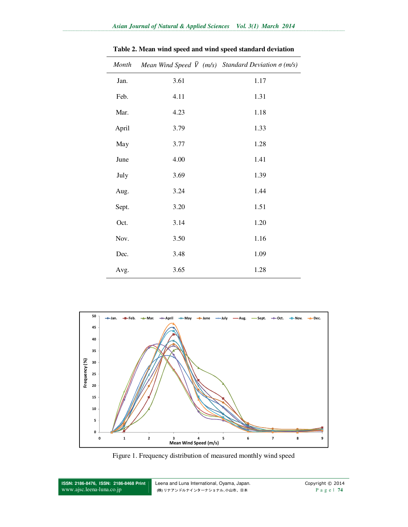| Month |      | Mean Wind Speed $\bar{V}$ (m/s) Standard Deviation $\sigma$ (m/s) |
|-------|------|-------------------------------------------------------------------|
| Jan.  | 3.61 | 1.17                                                              |
| Feb.  | 4.11 | 1.31                                                              |
| Mar.  | 4.23 | 1.18                                                              |
| April | 3.79 | 1.33                                                              |
| May   | 3.77 | 1.28                                                              |
| June  | 4.00 | 1.41                                                              |
| July  | 3.69 | 1.39                                                              |
| Aug.  | 3.24 | 1.44                                                              |
| Sept. | 3.20 | 1.51                                                              |
| Oct.  | 3.14 | 1.20                                                              |
| Nov.  | 3.50 | 1.16                                                              |
| Dec.  | 3.48 | 1.09                                                              |
| Avg.  | 3.65 | 1.28                                                              |

Table 2. Mean wind speed and wind speed standard deviation



Figure 1. Frequency distribution of measured monthly wind speed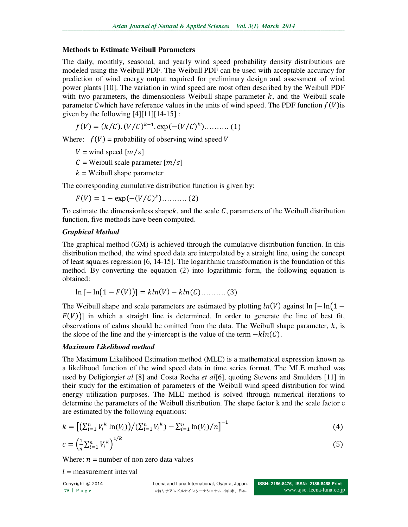## **Methods to Estimate Weibull Parameters**

The daily, monthly, seasonal, and yearly wind speed probability density distributions are modeled using the Weibull PDF. The Weibull PDF can be used with acceptable accuracy for prediction of wind energy output required for preliminary design and assessment of wind power plants [10]. The variation in wind speed are most often described by the Weibull PDF with two parameters, the dimensionless Weibull shape parameter  $k$ , and the Weibull scale parameter C which have reference values in the units of wind speed. The PDF function  $f(V)$  is given by the following  $[4][11][14-15]$ :

$$
f(V) = (k/C) . (V/C)^{k-1} . \exp(-(V/C)^k) . . . . . . . . . (1)
$$

Where:  $f(V)$  = probability of observing wind speed V

$$
V = \text{wind speed } [m/s]
$$

 $C =$  Weibull scale parameter  $[m/s]$ 

 $k =$  Weibull shape parameter

The corresponding cumulative distribution function is given by:

 $F(V) = 1 - \exp(-(V/C)^k)$ ………. (2)

To estimate the dimensionless shapek, and the scale  $C$ , parameters of the Weibull distribution function, five methods have been computed.

### *Graphical Method*

The graphical method (GM) is achieved through the cumulative distribution function. In this distribution method, the wind speed data are interpolated by a straight line, using the concept of least squares regression [6, 14-15]. The logarithmic transformation is the foundation of this method. By converting the equation (2) into logarithmic form, the following equation is obtained:

$$
\ln[-\ln(1 - F(V))] = k\ln(V) - k\ln(C) \dots \dots \dots \dots (3)
$$

The Weibull shape and scale parameters are estimated by plotting  $ln(V)$  against  $ln[-ln(1 F(V)$ ] in which a straight line is determined. In order to generate the line of best fit, observations of calms should be omitted from the data. The Weibull shape parameter,  $k$ , is the slope of the line and the y-intercept is the value of the term  $-kln(C)$ .

## *Maximum Likelihood method*

The Maximum Likelihood Estimation method (MLE) is a mathematical expression known as a likelihood function of the wind speed data in time series format. The MLE method was used by Deligiorgi*et al* [8] and Costa Rocha *et al*[6], quoting Stevens and Smulders [11] in their study for the estimation of parameters of the Weibull wind speed distribution for wind energy utilization purposes. The MLE method is solved through numerical iterations to determine the parameters of the Weibull distribution. The shape factor k and the scale factor c are estimated by the following equations:

$$
k = \left[ \left( \sum_{i=1}^{n} V_i^k \ln(V_i) \right) / \left( \sum_{i=1}^{n} V_i^k \right) - \sum_{i=1}^{n} \ln(V_i) / n \right]^{-1} \tag{4}
$$

$$
c = \left(\frac{1}{n}\sum_{i=1}^{n}V_i^k\right)^{1/k} \tag{5}
$$

Where:  $n =$  number of non zero data values

 $i$  = measurement interval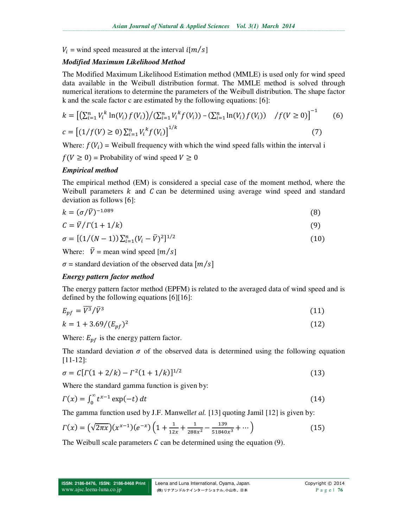$V_i$  = wind speed measured at the interval  $i[m/s]$ 

### *Modified Maximum Likelihood Method*

The Modified Maximum Likelihood Estimation method (MMLE) is used only for wind speed data available in the Weibull distribution format. The MMLE method is solved through numerical iterations to determine the parameters of the Weibull distribution. The shape factor k and the scale factor c are estimated by the following equations: [6]:

$$
k = \left[ \left( \sum_{i=1}^{n} V_i^k \ln(V_i) f(V_i) \right) / \left( \sum_{i=1}^{n} V_i^k f(V_i) \right) - \left( \sum_{i=1}^{n} \ln(V_i) f(V_i) \right) / f(V \ge 0) \right]^{-1}
$$
(6)  

$$
c = \left[ \left( 1 / f(V) \ge 0 \right) \sum_{i=1}^{n} V_i^k f(V_i) \right]^{1/k}
$$
(7)

Where:  $f(V_i)$  = Weibull frequency with which the wind speed falls within the interval i

 $f(V \ge 0)$  = Probability of wind speed  $V \ge 0$ 

### *Empirical method*

The empirical method (EM) is considered a special case of the moment method, where the Weibull parameters  $k$  and  $\bar{c}$  can be determined using average wind speed and standard deviation as follows [6]:

$$
k = (\sigma/\bar{V})^{-1.089} \tag{8}
$$

$$
C = \overline{V}/\Gamma(1+1/k) \tag{9}
$$

$$
\sigma = \left[ (1/(N-1)) \sum_{i=1}^{n} (V_i - \bar{V})^2 \right]^{1/2} \tag{10}
$$

Where:  $\overline{V}$  = mean wind speed  $[m/s]$ 

 $\sigma$  = standard deviation of the observed data  $[m/s]$ 

### *Energy pattern factor method*

The energy pattern factor method (EPFM) is related to the averaged data of wind speed and is defined by the following equations [6][16]:

$$
E_{pf} = \overline{V^3}/\overline{V}^3 \tag{11}
$$

$$
k = 1 + 3.69/(E_{pf})^2
$$
 (12)

Where:  $E_{\text{nf}}$  is the energy pattern factor.

The standard deviation  $\sigma$  of the observed data is determined using the following equation [11-12]:

$$
\sigma = C[r(1+2/k) - r^2(1+1/k)]^{1/2}
$$
\n(13)

Where the standard gamma function is given by:

$$
\Gamma(x) = \int_0^\infty t^{x-1} \exp(-t) \, dt \tag{14}
$$

The gamma function used by J.F. Manwell*et al.* [13] quoting Jamil [12] is given by:

$$
\Gamma(x) = \left(\sqrt{2\pi x}\right)\left(x^{x-1}\right)\left(e^{-x}\right)\left(1 + \frac{1}{12x} + \frac{1}{288x^2} - \frac{139}{51840x^3} + \cdots\right) \tag{15}
$$

The Weibull scale parameters  $C$  can be determined using the equation (9).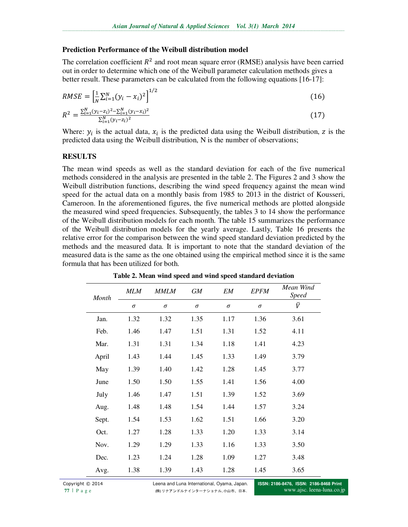## **Prediction Performance of the Weibull distribution model**

The correlation coefficient  $R^2$  and root mean square error (RMSE) analysis have been carried out in order to determine which one of the Weibull parameter calculation methods gives a better result. These parameters can be calculated from the following equations [16-17]:

$$
RMSE = \left[\frac{1}{N}\sum_{i=1}^{N} (y_i - x_i)^2\right]^{1/2} \tag{16}
$$

$$
R^{2} = \frac{\sum_{i=1}^{N} (y_{i} - z_{i})^{2} - \sum_{i=1}^{N} (y_{i} - x_{i})^{2}}{\sum_{i=1}^{N} (y_{i} - z_{i})^{2}}
$$
(17)

Where:  $y_i$  is the actual data,  $x_i$  is the predicted data using the Weibull distribution, z is the predicted data using the Weibull distribution, N is the number of observations;

#### **RESULTS**

The mean wind speeds as well as the standard deviation for each of the five numerical methods considered in the analysis are presented in the table 2. The Figures 2 and 3 show the Weibull distribution functions, describing the wind speed frequency against the mean wind speed for the actual data on a monthly basis from 1985 to 2013 in the district of Kousseri, Cameroon. In the aforementioned figures, the five numerical methods are plotted alongside the measured wind speed frequencies. Subsequently, the tables 3 to 14 show the performance of the Weibull distribution models for each month. The table 15 summarizes the performance of the Weibull distribution models for the yearly average. Lastly, Table 16 presents the relative error for the comparison between the wind speed standard deviation predicted by the methods and the measured data. It is important to note that the standard deviation of the measured data is the same as the one obtained using the empirical method since it is the same formula that has been utilized for both.

| Month | <b>MLM</b> | <b>MMLM</b> | <b>GM</b> | EM   | <b>EPFM</b> | Mean Wind<br><b>Speed</b> |
|-------|------------|-------------|-----------|------|-------------|---------------------------|
|       | $\sigma$   | $\sigma$    | $\sigma$  | σ    | $\sigma$    | $\bar{V}$                 |
| Jan.  | 1.32       | 1.32        | 1.35      | 1.17 | 1.36        | 3.61                      |
| Feb.  | 1.46       | 1.47        | 1.51      | 1.31 | 1.52        | 4.11                      |
| Mar.  | 1.31       | 1.31        | 1.34      | 1.18 | 1.41        | 4.23                      |
| April | 1.43       | 1.44        | 1.45      | 1.33 | 1.49        | 3.79                      |
| May   | 1.39       | 1.40        | 1.42      | 1.28 | 1.45        | 3.77                      |
| June  | 1.50       | 1.50        | 1.55      | 1.41 | 1.56        | 4.00                      |
| July  | 1.46       | 1.47        | 1.51      | 1.39 | 1.52        | 3.69                      |
| Aug.  | 1.48       | 1.48        | 1.54      | 1.44 | 1.57        | 3.24                      |
| Sept. | 1.54       | 1.53        | 1.62      | 1.51 | 1.66        | 3.20                      |
| Oct.  | 1.27       | 1.28        | 1.33      | 1.20 | 1.33        | 3.14                      |
| Nov.  | 1.29       | 1.29        | 1.33      | 1.16 | 1.33        | 3.50                      |
| Dec.  | 1.23       | 1.24        | 1.28      | 1.09 | 1.27        | 3.48                      |
| Avg.  | 1.38       | 1.39        | 1.43      | 1.28 | 1.45        | 3.65                      |

**Table 2. Mean wind speed and wind speed standard deviation** 

Copyright © 2014 Leena and Luna International, Oyama, Japan.<br>
77 | Page (株) リナアンドルナインターナショナル,小山市、日本. (株) リナアンドルナインターナショナル, 小山市、日本.

**ISSN: 2186-8476, ISSN: 2186-8468 Print**  www.ajsc. leena-luna.co.jp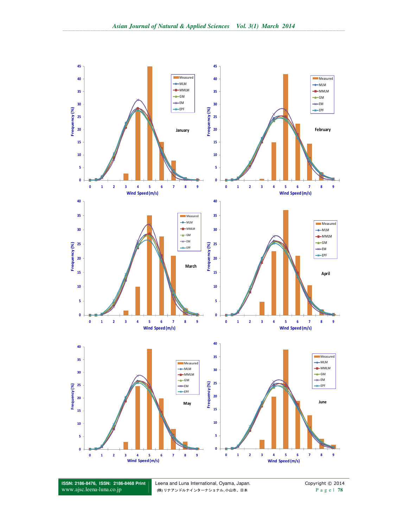

**ISSN: 2186-8476, ISSN: 2186-8468 Print**  www.ajsc.leena-luna.co.jp

Leena and Luna International, Oyama, Japan. Copyright © 2014 (株) リナアンドルナインターナショナル, 小山市、日本 **P** a g e | 78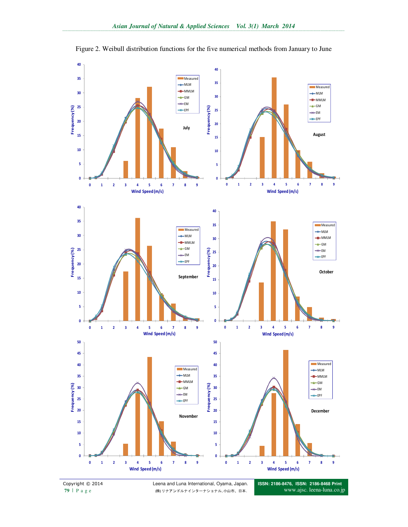

Figure 2. Weibull distribution functions for the five numerical methods from January to June

Copyright © 2014 Leena and Luna International, Oyama, Japan.<br>
79 | Page (株)リナアンドルナインターナショナル,小山市、日本. **79** | P a g e (株) リナアンドルナインターナショナル, 小山市、日本.

**ISSN: 2186-8476, ISSN: 2186-8468 Print**  www.ajsc. leena-luna.co.jp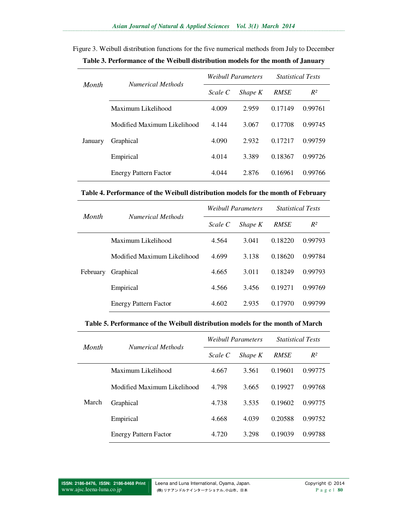| Month   | <b>Numerical Methods</b>     |         | Weibull Parameters | <i>Statistical Tests</i> |         |
|---------|------------------------------|---------|--------------------|--------------------------|---------|
|         |                              | Scale C | Shape K            | RMSE                     | $R^2$   |
| January | Maximum Likelihood           | 4.009   | 2.959              | 0.17149                  | 0.99761 |
|         | Modified Maximum Likelihood  | 4.144   | 3.067              | 0.17708                  | 0.99745 |
|         | Graphical                    | 4.090   | 2.932              | 0.17217                  | 0.99759 |
|         | Empirical                    | 4.014   | 3.389              | 0.18367                  | 0.99726 |
|         | <b>Energy Pattern Factor</b> | 4.044   | 2.876              | 0.16961                  | 0.99766 |

# Figure 3. Weibull distribution functions for the five numerical methods from July to December **Table 3. Performance of the Weibull distribution models for the month of January**

#### **Table 4. Performance of the Weibull distribution models for the month of February**

| Month    | <b>Numerical Methods</b>     |         | Weibull Parameters | <i>Statistical Tests</i> |         |
|----------|------------------------------|---------|--------------------|--------------------------|---------|
|          |                              | Scale C | Shape K            | RMSE                     | $R^2$   |
| February | Maximum Likelihood           | 4.564   | 3.041              | 0.18220                  | 0.99793 |
|          | Modified Maximum Likelihood  | 4.699   | 3.138              | 0.18620                  | 0.99784 |
|          | Graphical                    | 4.665   | 3.011              | 0.18249                  | 0.99793 |
|          | Empirical                    | 4.566   | 3.456              | 0.19271                  | 0.99769 |
|          | <b>Energy Pattern Factor</b> | 4.602   | 2.935              | 0.17970                  | 0.99799 |

#### **Table 5. Performance of the Weibull distribution models for the month of March**

| Month | <b>Numerical Methods</b>     |         | Weibull Parameters | <i>Statistical Tests</i> |         |
|-------|------------------------------|---------|--------------------|--------------------------|---------|
|       |                              | Scale C | Shape K            | RMSE                     | $R^2$   |
| March | Maximum Likelihood           | 4.667   | 3.561              | 0.19601                  | 0.99775 |
|       | Modified Maximum Likelihood  | 4.798   | 3.665              | 0.19927                  | 0.99768 |
|       | Graphical                    | 4.738   | 3.535              | 0.19602                  | 0.99775 |
|       | Empirical                    | 4.668   | 4.039              | 0.20588                  | 0.99752 |
|       | <b>Energy Pattern Factor</b> | 4.720   | 3.298              | 0.19039                  | 0.99788 |

**ISSN: 2186-8476, ISSN: 2186-8468 Print**  www.ajsc.leena-luna.co.jp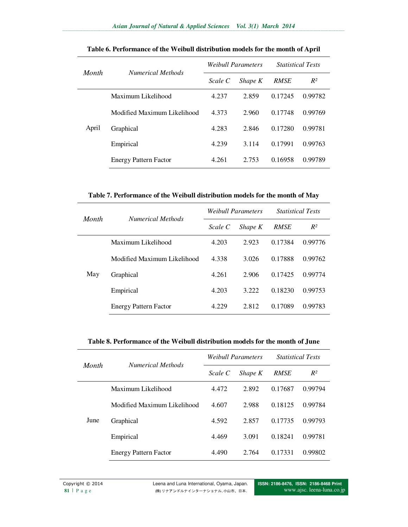| Month | <b>Numerical Methods</b>     |         | Weibull Parameters | <b>Statistical Tests</b> |         |
|-------|------------------------------|---------|--------------------|--------------------------|---------|
|       |                              | Scale C | Shape K            | RMSE                     | $R^2$   |
| April | Maximum Likelihood           | 4.237   | 2.859              | 0.17245                  | 0.99782 |
|       | Modified Maximum Likelihood  | 4.373   | 2.960              | 0.17748                  | 0.99769 |
|       | Graphical                    | 4.283   | 2.846              | 0.17280                  | 0.99781 |
|       | Empirical                    | 4.239   | 3.114              | 0.17991                  | 0.99763 |
|       | <b>Energy Pattern Factor</b> | 4.261   | 2.753              | 0.16958                  | 0.99789 |

**Table 6. Performance of the Weibull distribution models for the month of April** 

**Table 7. Performance of the Weibull distribution models for the month of May** 

| Month | <b>Numerical Methods</b>     |         | Weibull Parameters | <i>Statistical Tests</i> |         |
|-------|------------------------------|---------|--------------------|--------------------------|---------|
|       |                              | Scale C | Shape $K$          | RMSE                     | $R^2$   |
| May   | Maximum Likelihood           | 4.203   | 2.923              | 0.17384                  | 0.99776 |
|       | Modified Maximum Likelihood  | 4.338   | 3.026              | 0.17888                  | 0.99762 |
|       | Graphical                    | 4.261   | 2.906              | 0.17425                  | 0.99774 |
|       | Empirical                    | 4.203   | 3.222              | 0.18230                  | 0.99753 |
|       | <b>Energy Pattern Factor</b> | 4.229   | 2.812              | 0.17089                  | 0.99783 |

**Table 8. Performance of the Weibull distribution models for the month of June** 

| Month | <b>Numerical Methods</b>     |         | Weibull Parameters | <i>Statistical Tests</i> |         |
|-------|------------------------------|---------|--------------------|--------------------------|---------|
|       |                              | Scale C | Shape K            | RMSE                     | $R^2$   |
| June  | Maximum Likelihood           | 4.472   | 2.892              | 0.17687                  | 0.99794 |
|       | Modified Maximum Likelihood  | 4.607   | 2.988              | 0.18125                  | 0.99784 |
|       | Graphical                    | 4.592   | 2.857              | 0.17735                  | 0.99793 |
|       | Empirical                    | 4.469   | 3.091              | 0.18241                  | 0.99781 |
|       | <b>Energy Pattern Factor</b> | 4.490   | 2.764              | 0.17331                  | 0.99802 |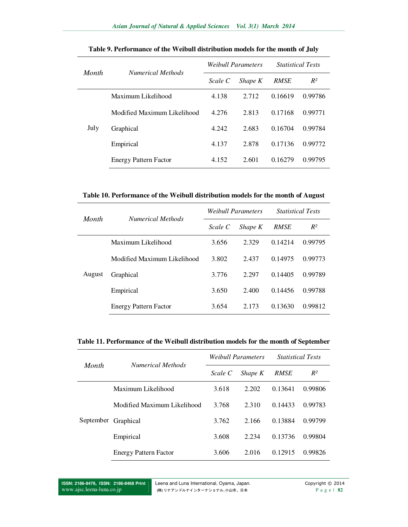| <b>Month</b> | <b>Numerical Methods</b>     |         | Weibull Parameters | <b>Statistical Tests</b> |         |
|--------------|------------------------------|---------|--------------------|--------------------------|---------|
|              |                              | Scale C | Shape K            | RMSE                     | $R^2$   |
| July         | Maximum Likelihood           | 4.138   | 2.712              | 0.16619                  | 0.99786 |
|              | Modified Maximum Likelihood  | 4.276   | 2.813              | 0.17168                  | 0.99771 |
|              | Graphical                    | 4.242   | 2.683              | 0.16704                  | 0.99784 |
|              | Empirical                    | 4.137   | 2.878              | 0.17136                  | 0.99772 |
|              | <b>Energy Pattern Factor</b> | 4.152   | 2.601              | 0.16279                  | 0.99795 |

**Table 9. Performance of the Weibull distribution models for the month of July** 

**Table 10. Performance of the Weibull distribution models for the month of August** 

| Month  | <b>Numerical Methods</b>     |         | Weibull Parameters | <i>Statistical Tests</i> |         |
|--------|------------------------------|---------|--------------------|--------------------------|---------|
|        |                              | Scale C | Shape $K$          | RMSE                     | $R^2$   |
| August | Maximum Likelihood           | 3.656   | 2.329              | 0.14214                  | 0.99795 |
|        | Modified Maximum Likelihood  | 3.802   | 2.437              | 0.14975                  | 0.99773 |
|        | Graphical                    | 3.776   | 2.297              | 0.14405                  | 0.99789 |
|        | Empirical                    | 3.650   | 2.400              | 0.14456                  | 0.99788 |
|        | <b>Energy Pattern Factor</b> | 3.654   | 2.173              | 0.13630                  | 0.99812 |

**Table 11. Performance of the Weibull distribution models for the month of September** 

| Month     | <b>Numerical Methods</b>     | Weibull Parameters |         | <i>Statistical Tests</i> |         |
|-----------|------------------------------|--------------------|---------|--------------------------|---------|
|           |                              | Scale C            | Shape K | <i>RMSE</i>              | $R^2$   |
| September | Maximum Likelihood           | 3.618              | 2.202   | 0.13641                  | 0.99806 |
|           | Modified Maximum Likelihood  | 3.768              | 2.310   | 0.14433                  | 0.99783 |
|           | Graphical                    | 3.762              | 2.166   | 0.13884                  | 0.99799 |
|           | Empirical                    | 3.608              | 2.234   | 0.13736                  | 0.99804 |
|           | <b>Energy Pattern Factor</b> | 3.606              | 2.016   | 0.12915                  | 0.99826 |

Leena and Luna International, Oyama, Japan. Copyright © 2014 (株) リナアンドルナインターナショナル, 小山市、日本<br> **P** a g e | 82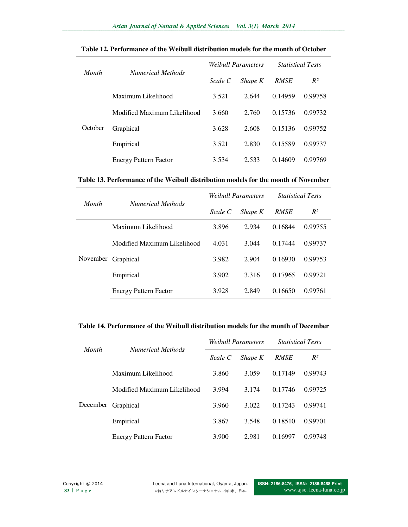| Month   | <b>Numerical Methods</b>     | Weibull Parameters |         | <i>Statistical Tests</i> |         |
|---------|------------------------------|--------------------|---------|--------------------------|---------|
|         |                              | Scale C            | Shape K | RMSE                     | $R^2$   |
| October | Maximum Likelihood           | 3.521              | 2.644   | 0.14959                  | 0.99758 |
|         | Modified Maximum Likelihood  | 3.660              | 2.760   | 0.15736                  | 0.99732 |
|         | Graphical                    | 3.628              | 2.608   | 0.15136                  | 0.99752 |
|         | Empirical                    | 3.521              | 2.830   | 0.15589                  | 0.99737 |
|         | <b>Energy Pattern Factor</b> | 3.534              | 2.533   | 0.14609                  | 0.99769 |

#### **Table 12. Performance of the Weibull distribution models for the month of October**

**Table 13. Performance of the Weibull distribution models for the month of November** 

| Month              | <b>Numerical Methods</b>     | Weibull Parameters |         | <i>Statistical Tests</i> |         |
|--------------------|------------------------------|--------------------|---------|--------------------------|---------|
|                    |                              | Scale C            | Shape K | RMSE                     | $R^2$   |
| November Graphical | Maximum Likelihood           | 3.896              | 2.934   | 0.16844                  | 0.99755 |
|                    | Modified Maximum Likelihood  | 4.031              | 3.044   | 0.17444                  | 0.99737 |
|                    |                              | 3.982              | 2.904   | 0.16930                  | 0.99753 |
|                    | Empirical                    | 3.902              | 3.316   | 0.17965                  | 0.99721 |
|                    | <b>Energy Pattern Factor</b> | 3.928              | 2.849   | 0.16650                  | 0.99761 |

### **Table 14. Performance of the Weibull distribution models for the month of December**

| Month    | <b>Numerical Methods</b>     | Weibull Parameters |         | <i>Statistical Tests</i> |         |
|----------|------------------------------|--------------------|---------|--------------------------|---------|
|          |                              | Scale C            | Shape K | RMSE                     | $R^2$   |
| December | Maximum Likelihood           | 3.860              | 3.059   | 0.17149                  | 0.99743 |
|          | Modified Maximum Likelihood  | 3.994              | 3.174   | 0.17746                  | 0.99725 |
|          | Graphical                    | 3.960              | 3.022   | 0.17243                  | 0.99741 |
|          | Empirical                    | 3.867              | 3.548   | 0.18510                  | 0.99701 |
|          | <b>Energy Pattern Factor</b> | 3.900              | 2.981   | 0.16997                  | 0.99748 |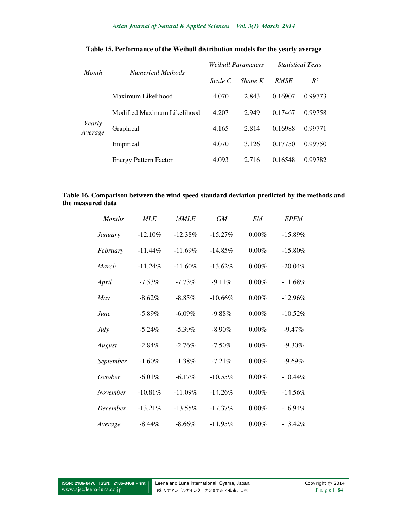| Month             | <b>Numerical Methods</b>     | Weibull Parameters |         | <i>Statistical Tests</i> |         |
|-------------------|------------------------------|--------------------|---------|--------------------------|---------|
|                   |                              | Scale C            | Shape K | RMSE                     | $R^2$   |
| Yearly<br>Average | Maximum Likelihood           | 4.070              | 2.843   | 0.16907                  | 0.99773 |
|                   | Modified Maximum Likelihood  | 4.207              | 2.949   | 0.17467                  | 0.99758 |
|                   | Graphical                    | 4.165              | 2.814   | 0.16988                  | 0.99771 |
|                   | Empirical                    | 4.070              | 3.126   | 0.17750                  | 0.99750 |
|                   | <b>Energy Pattern Factor</b> | 4.093              | 2.716   | 0.16548                  | 0.99782 |

**Table 15. Performance of the Weibull distribution models for the yearly average** 

**Table 16. Comparison between the wind speed standard deviation predicted by the methods and the measured data** 

| <b>Months</b>   | <b>MLE</b> | <b>MMLE</b> | <b>GM</b>  | EM       | <b>EPFM</b> |
|-----------------|------------|-------------|------------|----------|-------------|
| January         | $-12.10%$  | $-12.38%$   | $-15.27%$  | $0.00\%$ | $-15.89%$   |
| February        | $-11.44\%$ | $-11.69\%$  | $-14.85\%$ | $0.00\%$ | $-15.80\%$  |
| March           | $-11.24%$  | $-11.60%$   | $-13.62\%$ | 0.00%    | $-20.04%$   |
| April           | $-7.53\%$  | $-7.73\%$   | $-9.11\%$  | $0.00\%$ | $-11.68\%$  |
| May             | $-8.62%$   | $-8.85\%$   | $-10.66%$  | 0.00%    | $-12.96%$   |
| <i>June</i>     | $-5.89\%$  | $-6.09\%$   | $-9.88%$   | $0.00\%$ | $-10.52%$   |
| July            | $-5.24\%$  | $-5.39\%$   | $-8.90\%$  | $0.00\%$ | $-9.47\%$   |
| August          | $-2.84%$   | $-2.76%$    | $-7.50%$   | $0.00\%$ | $-9.30%$    |
| September       | $-1.60\%$  | $-1.38\%$   | $-7.21%$   | $0.00\%$ | $-9.69\%$   |
| <i>October</i>  | $-6.01%$   | $-6.17%$    | $-10.55%$  | 0.00%    | $-10.44%$   |
| <b>November</b> | $-10.81%$  | $-11.09%$   | $-14.26%$  | $0.00\%$ | $-14.56%$   |
| December        | $-13.21%$  | $-13.55\%$  | $-17.37%$  | $0.00\%$ | $-16.94%$   |
| Average         | $-8.44\%$  | $-8.66%$    | $-11.95%$  | $0.00\%$ | $-13.42%$   |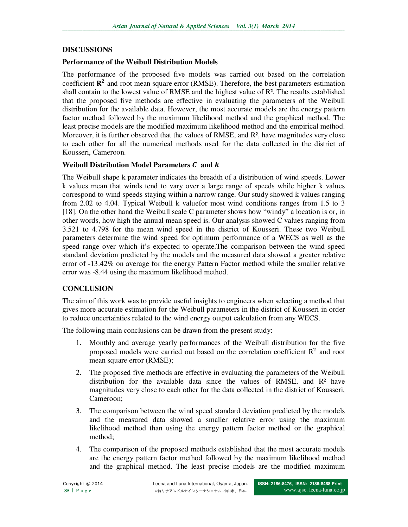## **DISCUSSIONS**

## **Performance of the Weibull Distribution Models**

The performance of the proposed five models was carried out based on the correlation coefficient  $\mathbb{R}^2$  and root mean square error (RMSE). Therefore, the best parameters estimation shall contain to the lowest value of RMSE and the highest value of R². The results established that the proposed five methods are effective in evaluating the parameters of the Weibull distribution for the available data. However, the most accurate models are the energy pattern factor method followed by the maximum likelihood method and the graphical method. The least precise models are the modified maximum likelihood method and the empirical method. Moreover, it is further observed that the values of RMSE, and R², have magnitudes very close to each other for all the numerical methods used for the data collected in the district of Kousseri, Cameroon.

### **Weibull Distribution Model Parameters**  $C$  **and**  $K$

The Weibull shape k parameter indicates the breadth of a distribution of wind speeds. Lower k values mean that winds tend to vary over a large range of speeds while higher k values correspond to wind speeds staying within a narrow range. Our study showed k values ranging from 2.02 to 4.04. Typical Weibull k valuefor most wind conditions ranges from 1.5 to 3 [18]. On the other hand the Weibull scale C parameter shows how "windy" a location is or, in other words, how high the annual mean speed is. Our analysis showed C values ranging from 3.521 to 4.798 for the mean wind speed in the district of Kousseri. These two Weibull parameters determine the wind speed for optimum performance of a WECS as well as the speed range over which it's expected to operate.The comparison between the wind speed standard deviation predicted by the models and the measured data showed a greater relative error of -13.42% on average for the energy Pattern Factor method while the smaller relative error was -8.44 using the maximum likelihood method.

## **CONCLUSION**

The aim of this work was to provide useful insights to engineers when selecting a method that gives more accurate estimation for the Weibull parameters in the district of Kousseri in order to reduce uncertainties related to the wind energy output calculation from any WECS.

The following main conclusions can be drawn from the present study:

- 1. Monthly and average yearly performances of the Weibull distribution for the five proposed models were carried out based on the correlation coefficient  $R<sup>2</sup>$  and root mean square error (RMSE);
- 2. The proposed five methods are effective in evaluating the parameters of the Weibull distribution for the available data since the values of RMSE, and  $R<sup>2</sup>$  have magnitudes very close to each other for the data collected in the district of Kousseri, Cameroon;
- 3. The comparison between the wind speed standard deviation predicted by the models and the measured data showed a smaller relative error using the maximum likelihood method than using the energy pattern factor method or the graphical method;
- 4. The comparison of the proposed methods established that the most accurate models are the energy pattern factor method followed by the maximum likelihood method and the graphical method. The least precise models are the modified maximum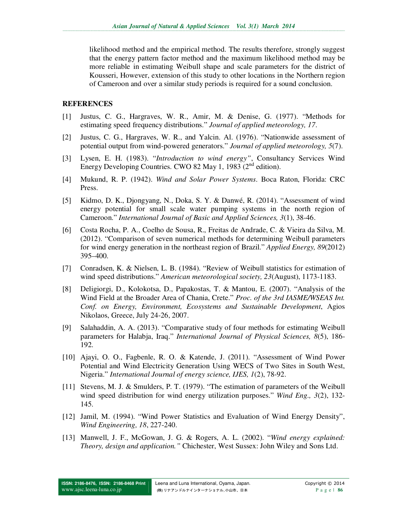likelihood method and the empirical method. The results therefore, strongly suggest that the energy pattern factor method and the maximum likelihood method may be more reliable in estimating Weibull shape and scale parameters for the district of Kousseri, However, extension of this study to other locations in the Northern region of Cameroon and over a similar study periods is required for a sound conclusion.

### **REFERENCES**

- [1] Justus, C. G., Hargraves, W. R., Amir, M. & Denise, G. (1977). "Methods for estimating speed frequency distributions." *Journal of applied meteorology, 17*.
- [2] Justus, C. G., Hargraves, W. R., and Yalcin. Al. (1976). "Nationwide assessment of potential output from wind-powered generators." *Journal of applied meteorology, 5*(7).
- [3] Lysen, E. H. (1983). "*Introduction to wind energy"*, Consultancy Services Wind Energy Developing Countries. CWO 82 May 1, 1983 (2<sup>nd</sup> edition).
- [4] Mukund, R. P. (1942). *Wind and Solar Power Systems*. Boca Raton, Florida: CRC Press.
- [5] Kidmo, D. K., Djongyang, N., Doka, S. Y. & Danwé, R. (2014). "Assessment of wind energy potential for small scale water pumping systems in the north region of Cameroon." *International Journal of Basic and Applied Sciences, 3*(1), 38-46.
- [6] Costa Rocha, P. A., Coelho de Sousa, R., Freitas de Andrade, C. & Vieira da Silva, M. (2012). "Comparison of seven numerical methods for determining Weibull parameters for wind energy generation in the northeast region of Brazil." *Applied Energy, 89*(2012) 395–400.
- [7] Conradsen, K. & Nielsen, L. B. (1984). "Review of Weibull statistics for estimation of wind speed distributions." *American meteorological society, 23*(August), 1173-1183.
- [8] Deligiorgi, D., Kolokotsa, D., Papakostas, T. & Mantou, E. (2007). "Analysis of the Wind Field at the Broader Area of Chania, Crete." *Proc. of the 3rd IASME/WSEAS Int. Conf. on Energy, Environment, Ecosystems and Sustainable Development*, Agios Nikolaos, Greece, July 24-26, 2007.
- [9] Salahaddin, A. A. (2013). "Comparative study of four methods for estimating Weibull parameters for Halabja, Iraq." *International Journal of Physical Sciences, 8*(5), 186- 192.
- [10] Ajayi, O. O., Fagbenle, R. O. & Katende, J. (2011). "Assessment of Wind Power Potential and Wind Electricity Generation Using WECS of Two Sites in South West, Nigeria." *International Journal of energy science, IJES, 1*(2), 78-92.
- [11] Stevens, M. J. & Smulders, P. T. (1979). "The estimation of parameters of the Weibull wind speed distribution for wind energy utilization purposes." *Wind Eng., 3*(2), 132- 145.
- [12] Jamil, M. (1994). "Wind Power Statistics and Evaluation of Wind Energy Density", *Wind Engineering, 18*, 227-240.
- [13] Manwell, J. F., McGowan, J. G. & Rogers, A. L. (2002). "*Wind energy explained: Theory, design and application."* Chichester, West Sussex: John Wiley and Sons Ltd.